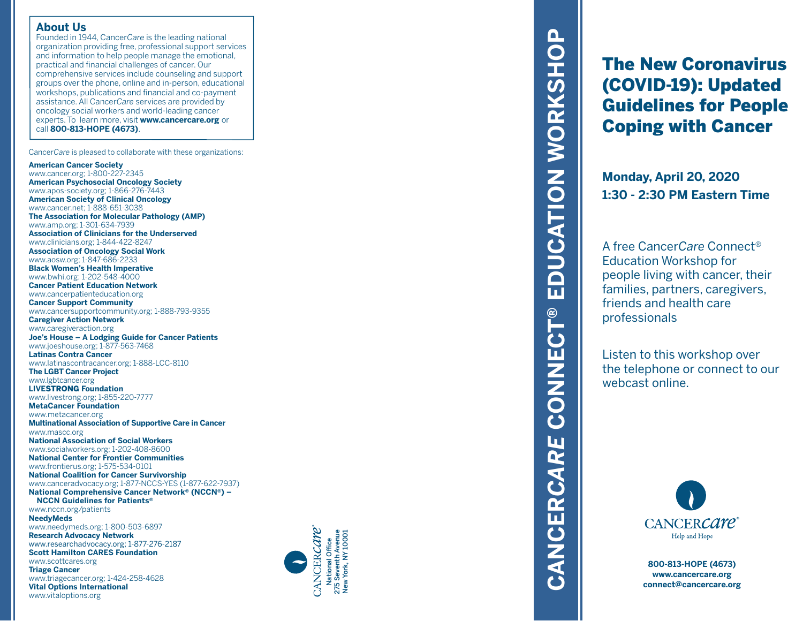#### **About Us**

Founded in 1944, Cancer*Care* is the leading national organization providing free, professional support services and information to help people manage the emotional, practical and financial challenges of cancer. Our comprehensive services include counseling and support groups over the phone, online and in-person, educational workshops, publications and financial and co-payment assistance. All Cancer*Care* services are provided by oncology social workers and world-leading cancer experts. To learn more, visit **www.cancercare.org** or call **800-813-HOPE (4673)** .

Cancer*Care* is pleased to collaborate with these organizations:

#### **American Cancer Society**

www.vitaloptions.org

www.cancer.org; 1-800-227-2345 **American Psychosocial Oncology Society** www.apos-society.org; 1-866-276-7443 **American Society of Clinical Oncology** www.cancer.net; 1-888-651-3038 **The Association for Molecular Pathology (AMP)** www.amp.org; 1-301-634-7939 **Association of Clinicians for the Underserved** www.clinicians.org; 1-844-422-8247 **Association of Oncology Social Work** www.aosw.org; 1-847-686-2233 **Black Women's Health Imperative** www.bwhi.org; 1-202-548-4000 **Cancer Patient Education Network** www.cancerpatienteducation.org **Cancer Support Community** www.cancersupportcommunity.org; 1-888-793-9355 **Caregiver Action Network** www.caregiveraction.org **Joe's House – A Lodging Guide for Cancer Patients** www.joeshouse.org; 1-877-563-7468 **Latinas Contra Cancer** www.latinascontracancer.org; 1-888-LCC-8110 **The LGBT Cancer Project** www.lgbtcancer.org **LIVE**STRONG **Foundation** www.livestrong.org; 1-855-220-7777 **MetaCancer Foundation** www.metacancer.org **Multinational Association of Supportive Care in Cancer** www.mascc.org **National Association of Social Workers** www.socialworkers.org; 1-202-408-8600 **National Center for Frontier Communities** www.frontierus.org; 1-575-534-0101 **National Coalition for Cancer Survivorship** www.canceradvocacy.org; 1-877-NCCS-YES (1-877-622-7937) **National Comprehensive Cancer Network ® (NCCN ®) – NCCN Guidelines for Patients ®** www.nccn.org/patients **NeedyMeds** www.needymeds.org; 1-800-503-6897 **Research Advocacy Network** www.researchadvocacy.org; 1-877-276-2187 **Scott Hamilton CARES Foundation** www.scottcares.org **Triage Cancer** www.triagecancer.org; 1-424-258-4628 **Vital Options International**



# EDUCATION WORKSHOP **CANCER***CARE* **CONNECT® EDUCATION WORKSHOP CONNECT®** CANCERCARE

The New Coronavirus (COVID-19): Updated Guidelines for People Coping with Cancer

**Monday, April 20, 2020 1:30 - 2:30 PM Eastern Time**

A free Cancer*Care* Connect ® Education Workshop for people living with cancer, their families, partners, caregivers, friends and health care professionals

Listen to this workshop over the telephone or connect to our webcast online.



**800-813-HOPE (4673) www.cancercare.org connect@cancercare.org**